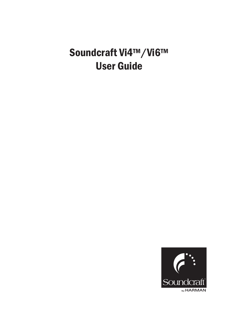# Soundcraft Vi4™/Vi6™ User Guide

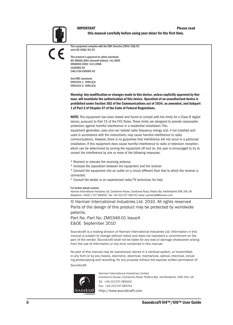#### IMPORTANT Please read this manual carefully before using your mixer for the first time.



This equipment complies with the EMC directive 2004/108/EC and LVD 2006/95/EC

This product is approved to safety standards IEC 60065:2001 (Seventh Edition) +A1:2005 EN60065:2002 +A11:2008 UL60065-03 CAN/CSA-E60065-03

And EMC standards EN55103-1: 1996 (E2) EN55103-2: 1996 (E2)

Warning: Any modification or changes made to this device, unless explicitly approved by Harman, will invalidate the authorisation of this device. Operation of an unauthorised device is prohibited under Section 302 of the Communications act of 1934, as amended, and Subpart 1 of Part 2 of Chapter 47 of the Code of Federal Regulations.

NOTE: This equipment has been tested and found to comply with the limits for a Class B digital device, pursuant to Part 15 of the FCC Rules. These limits are designed to provide reasonable protection against harmful interference in a residential installation. This equipment generates, uses and can radiate radio frequency energy and, if not installed and used in accordance with the instructions, may cause harmful interference to radio communications. However, there is no guarantee that interference will not occur in a particular installation. If this equipment does cause harmful interference to radio or television reception, which can be determined by turning the equipment off and on, the user is encouraged to try to correct the interference by one or more of the following measures:

\* Reorient or relocate the receiving antenna

\* Increase the separation between the equipment and the receiver

\* Connect the equipment into an outlet on a circuit different from that to which the receiver is connected.

\* Consult the dealer or an experienced radio/TV technician for help

#### For further details contact

Harman International Industries Ltd, Cranborne House, Cranborne Road, Potters Bar, Hertfordshire EN6 3JN, UK Telephone +44(0) 1707 665000 Fax +44 (0)1707 660742 email: soundcraft@harman.com

© Harman International Industries Ltd. 2010. All rights reserved Parts of the design of this product may be protected by worldwide patents.

Part No. Part No. ZM0346-01 Issue4 E&OE September 2010

Soundcraft is a trading division of Harman International Industries Ltd. Information in this manual is subject to change without notice and does not represent a commitment on the part of the vendor. Soundcraft shall not be liable for any loss or damage whatsoever arising from the use of information or any error contained in this manual.

No part of this manual may be reproduced, stored in a retrieval system, or transmitted, in any form or by any means, electronic, electrical, mechanical, optical, chemical, including photocopying and recording, for any purpose without the express written permission of Soundcraft.



Harman International Industries Limited Cranborne House, Cranborne Road, Potters Bar, Hertfordshire, EN6 3JN, UK Tel: +44 (0)1707 665000 Fax: +44 (0)1707 660742 http://www.soundcraft.com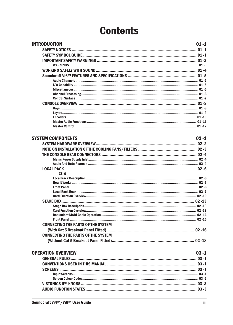# **Contents**

| <b>INTRODUCTION</b>                                           | $01 - 1$ |
|---------------------------------------------------------------|----------|
|                                                               |          |
|                                                               |          |
|                                                               |          |
|                                                               |          |
|                                                               |          |
|                                                               |          |
|                                                               |          |
|                                                               |          |
|                                                               |          |
|                                                               |          |
|                                                               |          |
|                                                               |          |
|                                                               |          |
|                                                               |          |
|                                                               |          |
|                                                               |          |
|                                                               |          |
| <b>SYSTEM COMPONENTS</b>                                      | $02 - 1$ |
|                                                               |          |
|                                                               |          |
|                                                               |          |
|                                                               |          |
|                                                               |          |
|                                                               |          |
| $ZZ - 6$                                                      |          |
|                                                               |          |
|                                                               |          |
|                                                               |          |
|                                                               |          |
|                                                               |          |
|                                                               |          |
|                                                               |          |
|                                                               |          |
|                                                               |          |
|                                                               |          |
| <b>CONNECTING THE PARTS OF THE SYSTEM</b>                     |          |
|                                                               |          |
| <b>CONNECTING THE PARTS OF THE SYSTEM</b>                     |          |
|                                                               |          |
|                                                               |          |
| <b>OPERATION OVERVIEW</b>                                     | $03 - 1$ |
|                                                               |          |
|                                                               |          |
|                                                               |          |
|                                                               |          |
|                                                               |          |
| VISTONICS II™ KNOBS …………………………………………………………………………………………… 03 -3 |          |
|                                                               |          |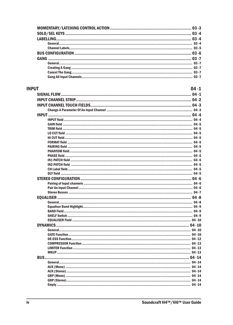| <b>INPUT</b> | $04 - 1$ |
|--------------|----------|
|              |          |
|              |          |
|              |          |
|              |          |
|              |          |
|              |          |
|              |          |
|              |          |
|              |          |
|              |          |
|              |          |
|              |          |
|              |          |
|              |          |
|              |          |
|              |          |
|              |          |
|              |          |
|              |          |
|              |          |
|              |          |
|              |          |
|              |          |
|              |          |
|              |          |
|              |          |
|              |          |
|              |          |
|              |          |
|              |          |
|              |          |
|              |          |
|              |          |
|              |          |
| <b>MKUP</b>  |          |
|              |          |
|              |          |
|              |          |
|              |          |
|              |          |
|              |          |
|              |          |
|              |          |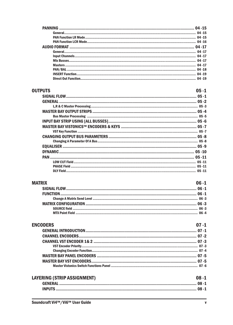| $04 - 19$ |
|-----------|
|           |

### **OUTPUTS**

| <b>PUTS</b> | N5 - 1 |
|-------------|--------|
|             |        |
|             |        |
|             |        |
|             |        |
|             |        |
|             |        |
|             |        |
|             |        |
|             |        |
|             |        |
|             |        |
|             |        |
|             |        |
|             |        |
|             |        |
|             |        |
|             |        |

# **MATRIX**

| TRIX | $06 - 1$ |
|------|----------|
|      |          |
|      |          |
|      |          |
|      |          |
|      |          |
|      |          |

| <b>ENCODERS</b> | $07 - 1$ |
|-----------------|----------|
|                 |          |
|                 |          |
|                 |          |
|                 |          |
|                 |          |
|                 |          |
|                 |          |
|                 |          |
|                 |          |

| LAYERING (STRIP ASSIGNMENT) | $08 - 1$ |
|-----------------------------|----------|
|                             |          |
|                             |          |
|                             |          |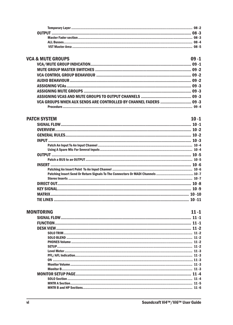### **VCA & MUTE GROUPS**

### $09 - 1$

| <u>a moil anooi J</u> |  |
|-----------------------|--|
|                       |  |
|                       |  |
|                       |  |
|                       |  |
|                       |  |
|                       |  |
|                       |  |
|                       |  |
|                       |  |

### **PATCH SYSTEM**

#### $10 - 1$

| $10 - 8$  |
|-----------|
|           |
|           |
| $10 - 11$ |
|           |

| <b>MONITORING</b> |
|-------------------|
|                   |
| <b>FUNCTION</b>   |
|                   |
|                   |
|                   |
|                   |
|                   |
|                   |
|                   |
|                   |
|                   |
|                   |
|                   |
|                   |
|                   |
|                   |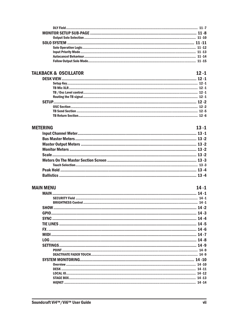## **TALKBACK & OSCILLATOR**

## $12 - 1$

# **METERING**

| ERING | $13 - 1$ |
|-------|----------|
|       |          |
|       |          |
|       |          |
|       |          |
|       |          |
|       |          |
|       |          |
|       |          |
|       |          |

# **MAIN MENU**

| <b>IN MENU</b> |          |
|----------------|----------|
|                |          |
|                |          |
|                | $14 - 1$ |
|                |          |
|                |          |
|                |          |
|                |          |
| FX             |          |
|                |          |
| 10G            |          |
|                |          |
|                |          |
|                |          |
|                |          |
|                |          |
|                |          |
|                |          |
|                |          |
|                |          |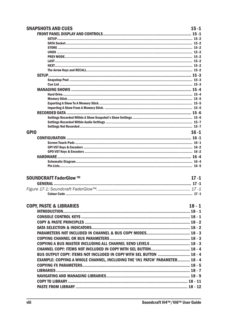| <b>SNAPSHOTS AND CUES</b>                                                    | $15 - 1$ |
|------------------------------------------------------------------------------|----------|
|                                                                              |          |
|                                                                              |          |
|                                                                              |          |
|                                                                              |          |
|                                                                              |          |
|                                                                              |          |
|                                                                              |          |
|                                                                              |          |
|                                                                              |          |
|                                                                              |          |
|                                                                              |          |
|                                                                              |          |
|                                                                              |          |
|                                                                              |          |
|                                                                              |          |
|                                                                              |          |
|                                                                              |          |
|                                                                              |          |
|                                                                              |          |
|                                                                              |          |
|                                                                              |          |
| <b>GPIO</b>                                                                  | $16 - 1$ |
|                                                                              |          |
|                                                                              |          |
|                                                                              |          |
|                                                                              |          |
|                                                                              |          |
|                                                                              |          |
|                                                                              |          |
| <b>SOUNDCRAFT FaderGlow ™</b>                                                | $17 - 1$ |
|                                                                              |          |
|                                                                              |          |
|                                                                              |          |
|                                                                              |          |
| <b>COPY, PASTE &amp; LIBRARIES</b>                                           | $18 - 1$ |
|                                                                              |          |
|                                                                              |          |
|                                                                              |          |
|                                                                              |          |
|                                                                              |          |
|                                                                              |          |
|                                                                              |          |
| COPYING A BUS MASTER INCLUDING ALL CHANNEL SEND LEVELS  18 - 3               |          |
|                                                                              |          |
| BUS OUTPUT COPY: ITEMS NOT INCLUDED IN COPY WITH SEL BUTTON  18 - 4          |          |
|                                                                              |          |
| EXAMPLE: COPYING A WHOLE CHANNEL, INCLUDING THE 'IN1 PATCH' PARAMETER 18 - 4 |          |
|                                                                              |          |
|                                                                              |          |
|                                                                              |          |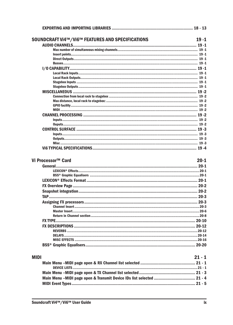|             | SOUNDCRAFT Vi4™/Vi6™ FEATURES AND SPECIFICATIONS                      | $19 - 1$ |
|-------------|-----------------------------------------------------------------------|----------|
|             |                                                                       |          |
|             |                                                                       |          |
|             |                                                                       |          |
|             |                                                                       |          |
|             |                                                                       |          |
|             |                                                                       |          |
|             |                                                                       |          |
|             |                                                                       |          |
|             |                                                                       |          |
|             |                                                                       |          |
|             |                                                                       |          |
|             |                                                                       |          |
|             |                                                                       |          |
|             |                                                                       |          |
|             |                                                                       |          |
|             |                                                                       |          |
|             |                                                                       |          |
|             |                                                                       |          |
|             |                                                                       |          |
|             |                                                                       |          |
|             |                                                                       |          |
|             |                                                                       |          |
|             |                                                                       |          |
|             | Vi Processor™ Card                                                    | $20 - 1$ |
|             |                                                                       |          |
|             |                                                                       |          |
|             |                                                                       |          |
|             |                                                                       |          |
|             |                                                                       |          |
|             |                                                                       |          |
|             |                                                                       |          |
|             |                                                                       |          |
|             |                                                                       |          |
|             |                                                                       |          |
|             |                                                                       |          |
|             |                                                                       |          |
|             |                                                                       |          |
|             |                                                                       |          |
|             |                                                                       |          |
|             |                                                                       |          |
|             |                                                                       |          |
|             |                                                                       |          |
| <b>MIDI</b> |                                                                       | $21 - 1$ |
|             |                                                                       |          |
|             |                                                                       |          |
|             |                                                                       |          |
|             | Main Menu -MIDI page open & Transmit Device IDs list selected  21 - 4 |          |
|             |                                                                       |          |